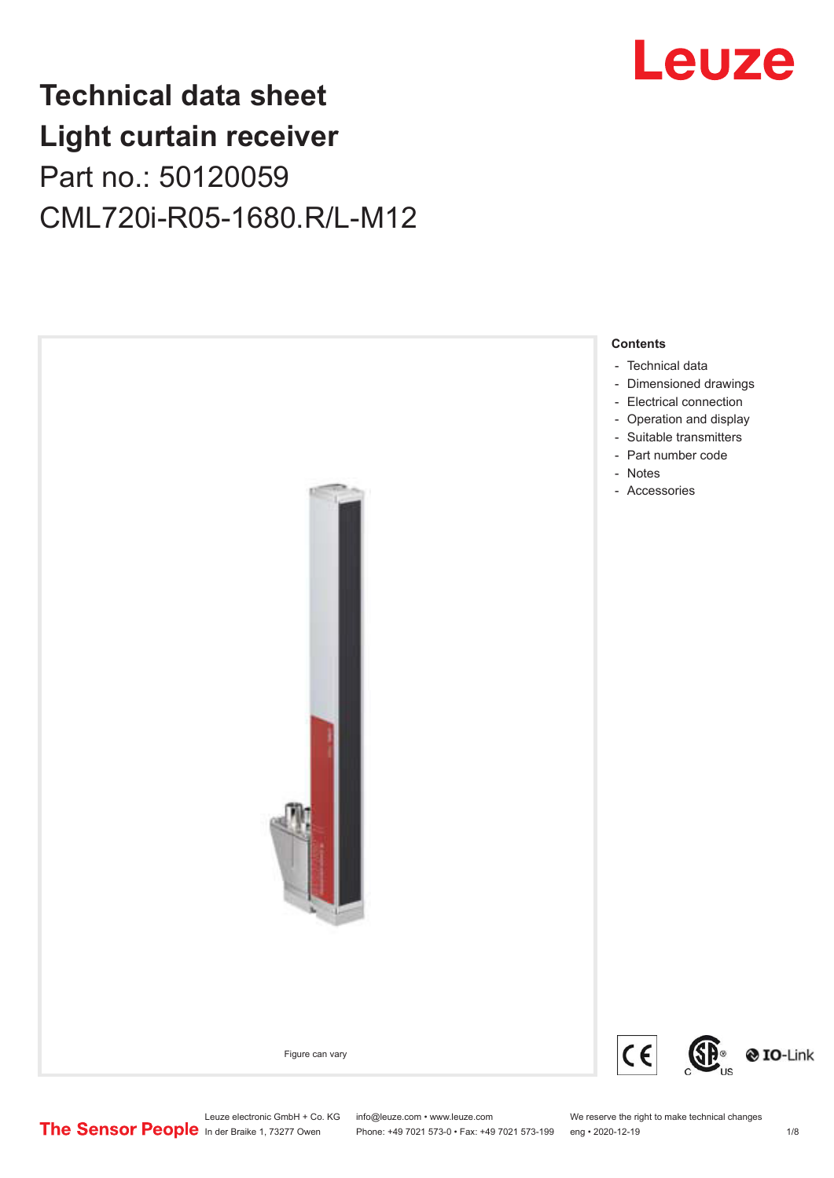## **Technical data sheet Light curtain receiver** Part no.: 50120059 CML720i-R05-1680.R/L-M12



Leuze electronic GmbH + Co. KG info@leuze.com • www.leuze.com We reserve the right to make technical changes<br>
The Sensor People in der Braike 1, 73277 Owen Phone: +49 7021 573-0 • Fax: +49 7021 573-199 eng • 2020-12-19

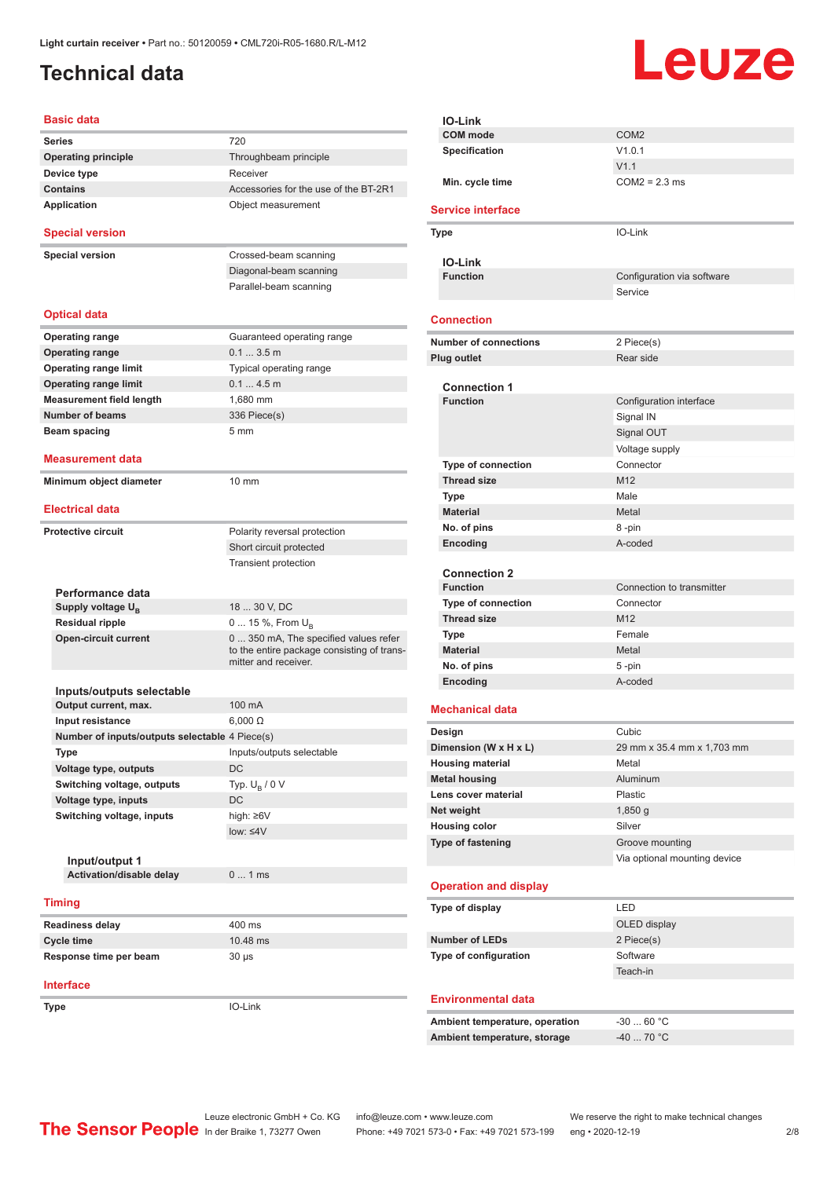### <span id="page-1-0"></span>**Technical data**

# Leuze

|                        | Basic data                                     |                                            |
|------------------------|------------------------------------------------|--------------------------------------------|
|                        | <b>Series</b>                                  | 720                                        |
|                        | <b>Operating principle</b>                     | Throughbeam principle                      |
|                        | Device type                                    | Receiver                                   |
|                        | <b>Contains</b>                                | Accessories for the use of the BT-2R1      |
| Application            |                                                | Object measurement                         |
|                        |                                                |                                            |
|                        | <b>Special version</b>                         |                                            |
|                        | <b>Special version</b>                         | Crossed-beam scanning                      |
|                        |                                                | Diagonal-beam scanning                     |
|                        |                                                | Parallel-beam scanning                     |
|                        |                                                |                                            |
|                        | <b>Optical data</b>                            |                                            |
|                        | <b>Operating range</b>                         | Guaranteed operating range                 |
|                        | <b>Operating range</b>                         | 0.13.5m                                    |
|                        | <b>Operating range limit</b>                   | Typical operating range                    |
|                        | <b>Operating range limit</b>                   | 0.14.5m                                    |
|                        | <b>Measurement field length</b>                | 1,680 mm                                   |
|                        | <b>Number of beams</b>                         | 336 Piece(s)                               |
|                        | Beam spacing                                   | 5 <sub>mm</sub>                            |
|                        | <b>Measurement data</b>                        |                                            |
|                        |                                                |                                            |
|                        | Minimum object diameter                        | $10 \text{ mm}$                            |
|                        | <b>Electrical data</b>                         |                                            |
|                        |                                                |                                            |
|                        | <b>Protective circuit</b>                      | Polarity reversal protection               |
|                        |                                                | Short circuit protected                    |
|                        |                                                | <b>Transient protection</b>                |
|                        | Performance data                               |                                            |
|                        | Supply voltage $U_{\rm B}$                     | 18  30 V, DC                               |
|                        | <b>Residual ripple</b>                         | 0  15 %, From $U_{\rm B}$                  |
|                        | <b>Open-circuit current</b>                    | 0  350 mA, The specified values refer      |
|                        |                                                | to the entire package consisting of trans- |
|                        |                                                | mitter and receiver.                       |
|                        | Inputs/outputs selectable                      |                                            |
|                        | Output current, max.                           | 100 mA                                     |
|                        | Input resistance                               | $6,000 \Omega$                             |
|                        | Number of inputs/outputs selectable 4 Piece(s) |                                            |
|                        | <b>Type</b>                                    | Inputs/outputs selectable                  |
|                        | Voltage type, outputs                          | DC                                         |
|                        | Switching voltage, outputs                     | Typ. $U_B / 0 V$                           |
|                        | Voltage type, inputs                           | DC                                         |
|                        | Switching voltage, inputs                      | high: $\geq 6V$                            |
|                        |                                                | $low: \leq 4V$                             |
|                        |                                                |                                            |
|                        | Input/output 1                                 |                                            |
|                        | Activation/disable delay                       | 01ms                                       |
| <b>Timing</b>          |                                                |                                            |
|                        |                                                |                                            |
|                        | <b>Readiness delay</b>                         | 400 ms                                     |
|                        | <b>Cycle time</b>                              | 10.48 ms                                   |
| Response time per beam |                                                | $30 \mu s$                                 |
|                        | <b>Interface</b>                               |                                            |
|                        |                                                | IO-Link                                    |
|                        | Type                                           |                                            |

| <b>IO-Link</b>                 |                              |
|--------------------------------|------------------------------|
| <b>COM</b> mode                | COM <sub>2</sub>             |
| <b>Specification</b>           | V1.0.1                       |
|                                | V1.1                         |
| Min. cycle time                | $COM2 = 2.3$ ms              |
| <b>Service interface</b>       |                              |
| Type                           | IO-Link                      |
| <b>IO-Link</b>                 |                              |
| <b>Function</b>                | Configuration via software   |
|                                | Service                      |
|                                |                              |
| <b>Connection</b>              |                              |
| <b>Number of connections</b>   | 2 Piece(s)                   |
| <b>Plug outlet</b>             | Rear side                    |
| <b>Connection 1</b>            |                              |
| <b>Function</b>                | Configuration interface      |
|                                | Signal IN                    |
|                                | Signal OUT                   |
|                                | Voltage supply               |
| Type of connection             | Connector                    |
| <b>Thread size</b>             | M12                          |
| Type                           | Male                         |
| <b>Material</b>                | Metal                        |
| No. of pins                    | 8-pin                        |
| Encoding                       | A-coded                      |
|                                |                              |
| <b>Connection 2</b>            |                              |
| <b>Function</b>                | Connection to transmitter    |
| <b>Type of connection</b>      | Connector                    |
| <b>Thread size</b>             | M <sub>12</sub>              |
| Type                           | Female                       |
| <b>Material</b>                | Metal                        |
| No. of pins                    | 5 -pin                       |
| Encoding                       | A-coded                      |
|                                |                              |
| <b>Mechanical data</b>         |                              |
| Design                         | Cubic                        |
| Dimension (W x H x L)          | 29 mm x 35.4 mm x 1,703 mm   |
| <b>Housing material</b>        | Metal                        |
| <b>Metal housing</b>           | Aluminum                     |
| Lens cover material            | Plastic                      |
| Net weight                     | 1,850q                       |
| <b>Housing color</b>           | Silver                       |
| <b>Type of fastening</b>       | Groove mounting              |
|                                | Via optional mounting device |
| <b>Operation and display</b>   |                              |
|                                | LED                          |
| Type of display                |                              |
|                                | OLED display                 |
| <b>Number of LEDs</b>          | 2 Piece(s)                   |
| Type of configuration          | Software                     |
|                                | Teach-in                     |
| <b>Environmental data</b>      |                              |
| Ambient temperature, operation | $-3060 °C$                   |
| Ambient temperature, storage   | -40  70 °C                   |
|                                |                              |
|                                |                              |
|                                |                              |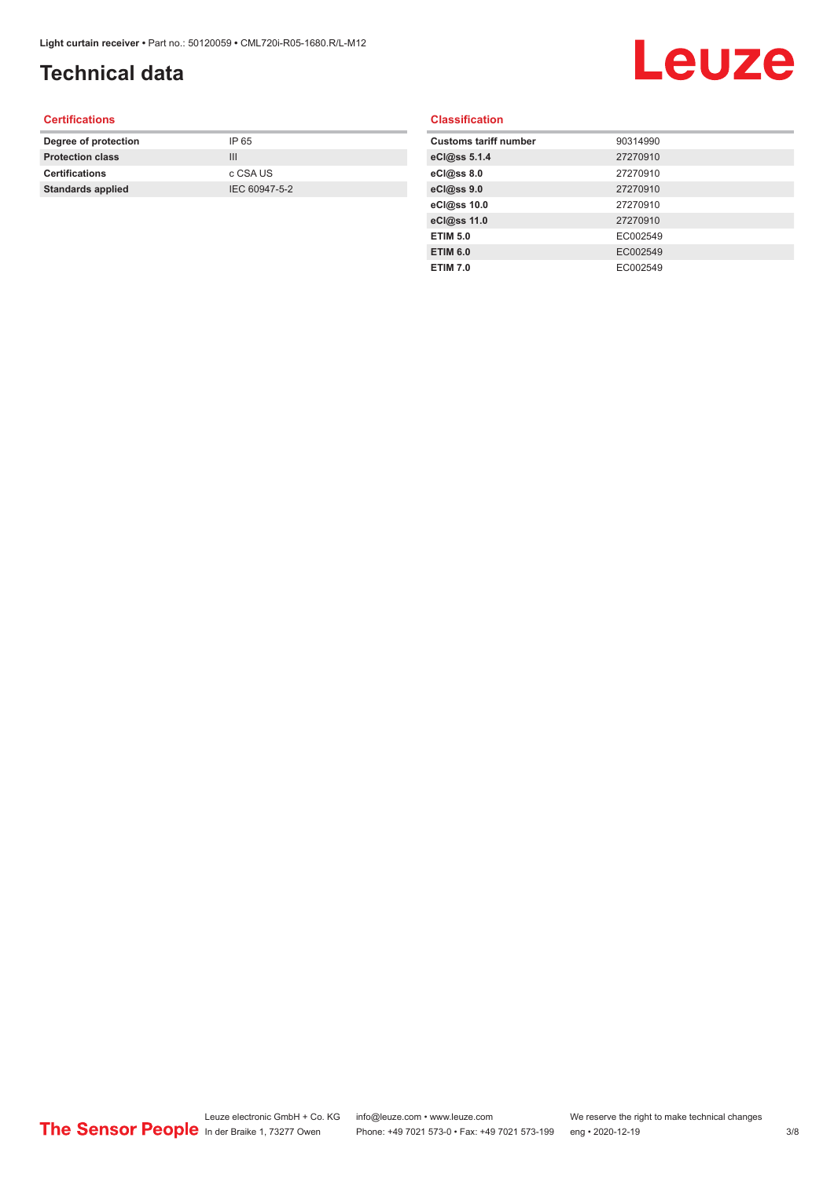## **Technical data**

## Leuze

#### **Certifications**

| Degree of protection     | IP 65         |
|--------------------------|---------------|
| <b>Protection class</b>  | Ш             |
| <b>Certifications</b>    | c CSA US      |
| <b>Standards applied</b> | IEC 60947-5-2 |
|                          |               |

#### **Classification**

| <b>Customs tariff number</b> | 90314990 |
|------------------------------|----------|
| eCl@ss 5.1.4                 | 27270910 |
| eCl@ss 8.0                   | 27270910 |
| eCl@ss 9.0                   | 27270910 |
| eCl@ss 10.0                  | 27270910 |
| eCl@ss 11.0                  | 27270910 |
| <b>ETIM 5.0</b>              | EC002549 |
| <b>ETIM 6.0</b>              | EC002549 |
| <b>ETIM 7.0</b>              | EC002549 |
|                              |          |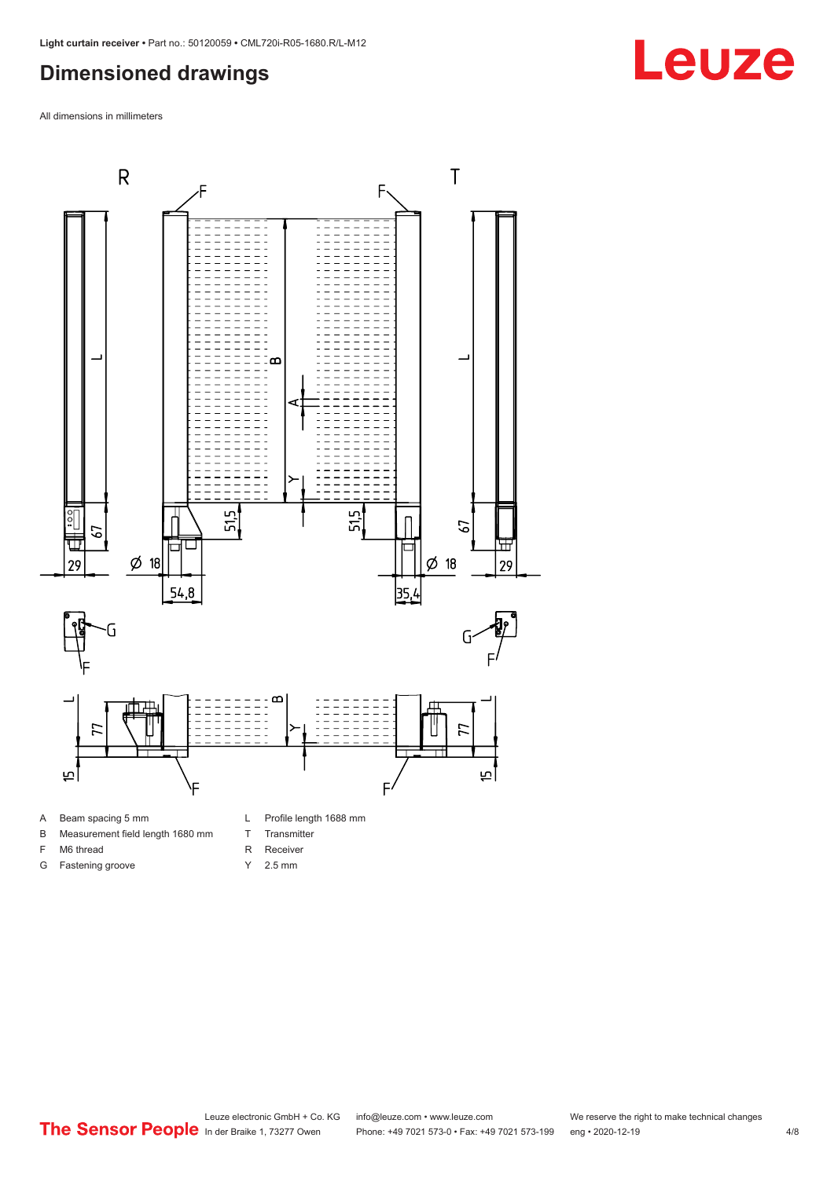#### <span id="page-3-0"></span>**Dimensioned drawings**

All dimensions in millimeters



- A Beam spacing 5 mm
- B Measurement field length 1680 mm
- F M6 thread G Fastening groove
- 
- T Transmitter R Receiver
	- Y 2.5 mm

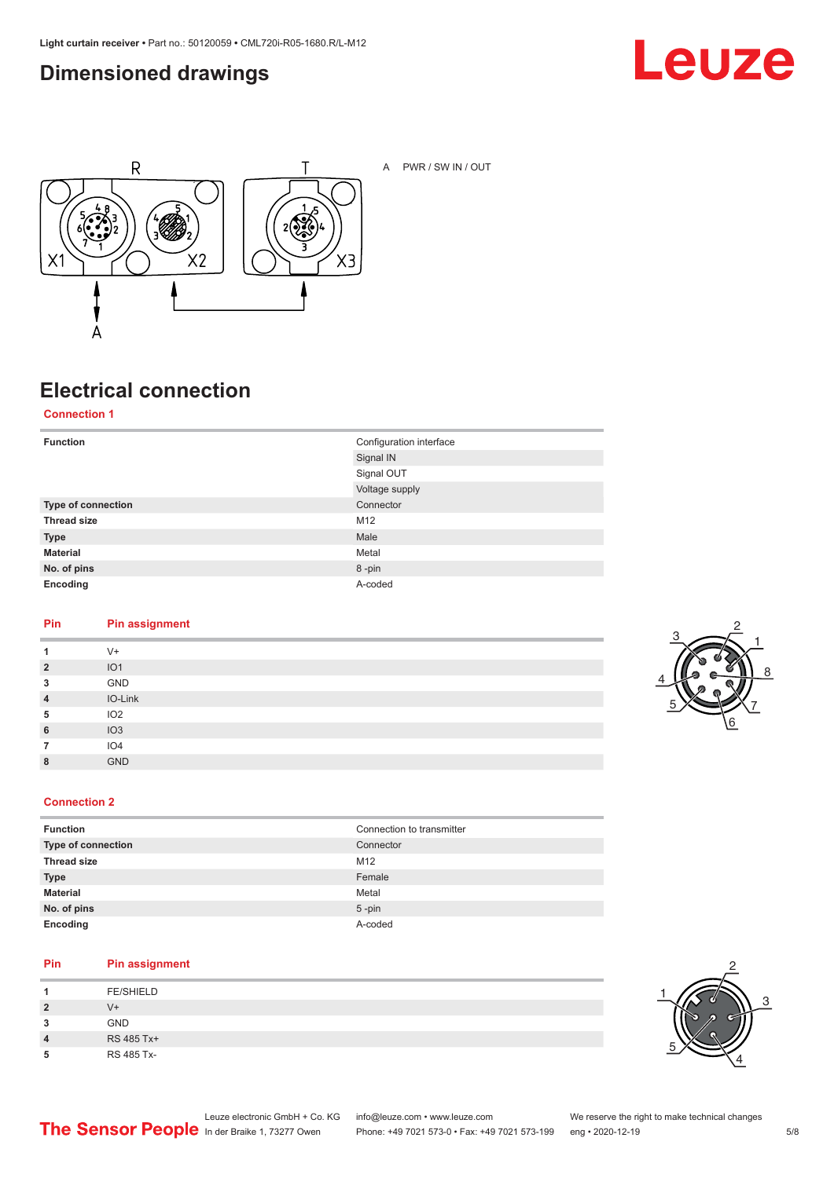### <span id="page-4-0"></span>**Dimensioned drawings**





A PWR / SW IN / OUT

### **Electrical connection**

**Connection 1**

| <b>Function</b>    | Configuration interface |
|--------------------|-------------------------|
|                    | Signal IN               |
|                    | Signal OUT              |
|                    | Voltage supply          |
| Type of connection | Connector               |
| <b>Thread size</b> | M12                     |
| <b>Type</b>        | Male                    |
| <b>Material</b>    | Metal                   |
| No. of pins        | 8-pin                   |
| Encoding           | A-coded                 |

#### **Pin Pin assignment**

|                | $V +$           |
|----------------|-----------------|
| $\overline{2}$ | IO <sub>1</sub> |
| 3              | GND             |
| $\overline{4}$ | IO-Link         |
| 5              | IO2             |
| 6              | IO3             |
|                | IO <sub>4</sub> |
| 8              | <b>GND</b>      |



#### **Connection 2**

| <b>Function</b>    | Connection to transmitter |
|--------------------|---------------------------|
| Type of connection | Connector                 |
| <b>Thread size</b> | M <sub>12</sub>           |
| <b>Type</b>        | Female                    |
| <b>Material</b>    | Metal                     |
| No. of pins        | $5$ -pin                  |
| Encoding           | A-coded                   |

#### **Pin Pin assignment**

|   | <b>FE/SHIELD</b> |
|---|------------------|
| 2 | $V +$            |
| 3 | <b>GND</b>       |
| 4 | RS 485 Tx+       |
| 5 | RS 485 Tx-       |

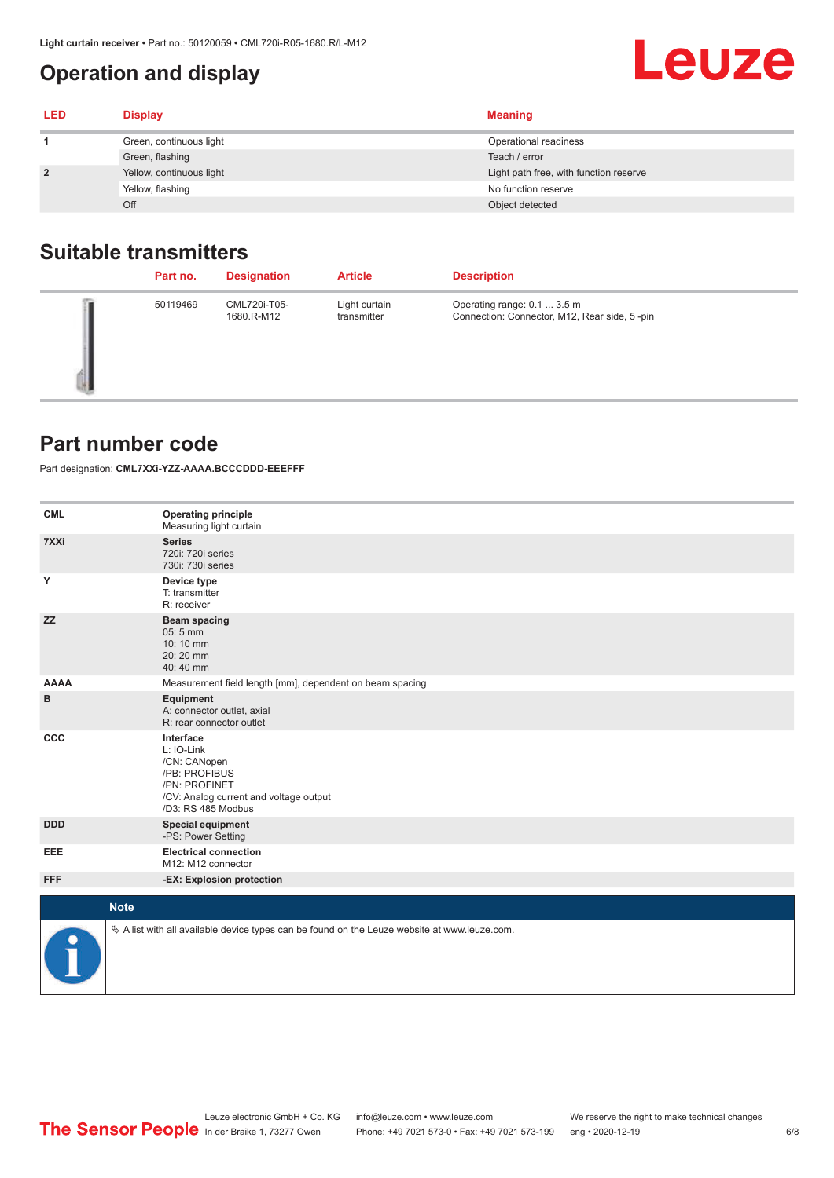### <span id="page-5-0"></span>**Operation and display**

| <b>LED</b>     | <b>Display</b>           | <b>Meaning</b>                         |
|----------------|--------------------------|----------------------------------------|
|                | Green, continuous light  | Operational readiness                  |
|                | Green, flashing          | Teach / error                          |
| $\overline{2}$ | Yellow, continuous light | Light path free, with function reserve |
|                | Yellow, flashing         | No function reserve                    |
|                | Off                      | Object detected                        |

### **Suitable transmitters**

| Part no. | <b>Designation</b>         | <b>Article</b>               | <b>Description</b>                                                          |
|----------|----------------------------|------------------------------|-----------------------------------------------------------------------------|
| 50119469 | CML720i-T05-<br>1680.R-M12 | Light curtain<br>transmitter | Operating range: 0.1  3.5 m<br>Connection: Connector, M12, Rear side, 5-pin |

#### **Part number code**

Part designation: **CML7XXi-YZZ-AAAA.BCCCDDD-EEEFFF**

| <b>CML</b>    | <b>Operating principle</b><br>Measuring light curtain                                                                                     |
|---------------|-------------------------------------------------------------------------------------------------------------------------------------------|
| 7XXi          | <b>Series</b><br>720i: 720i series<br>730i: 730i series                                                                                   |
| Υ             | Device type<br>T: transmitter<br>R: receiver                                                                                              |
| <b>ZZ</b>     | <b>Beam spacing</b><br>$05:5$ mm<br>10:10 mm<br>20:20 mm<br>40:40 mm                                                                      |
| <b>AAAA</b>   | Measurement field length [mm], dependent on beam spacing                                                                                  |
| в             | Equipment<br>A: connector outlet, axial<br>R: rear connector outlet                                                                       |
| CCC           | Interface<br>L: IO-Link<br>/CN: CANopen<br>/PB: PROFIBUS<br>/PN: PROFINET<br>/CV: Analog current and voltage output<br>/D3: RS 485 Modbus |
| <b>DDD</b>    | <b>Special equipment</b><br>-PS: Power Setting                                                                                            |
| EEE           | <b>Electrical connection</b><br>M12: M12 connector                                                                                        |
| <b>FFF</b>    | -EX: Explosion protection                                                                                                                 |
|               | <b>Note</b>                                                                                                                               |
| $\frac{1}{2}$ | $\&$ A list with all available device types can be found on the Leuze website at www.leuze.com.                                           |

**Leuze**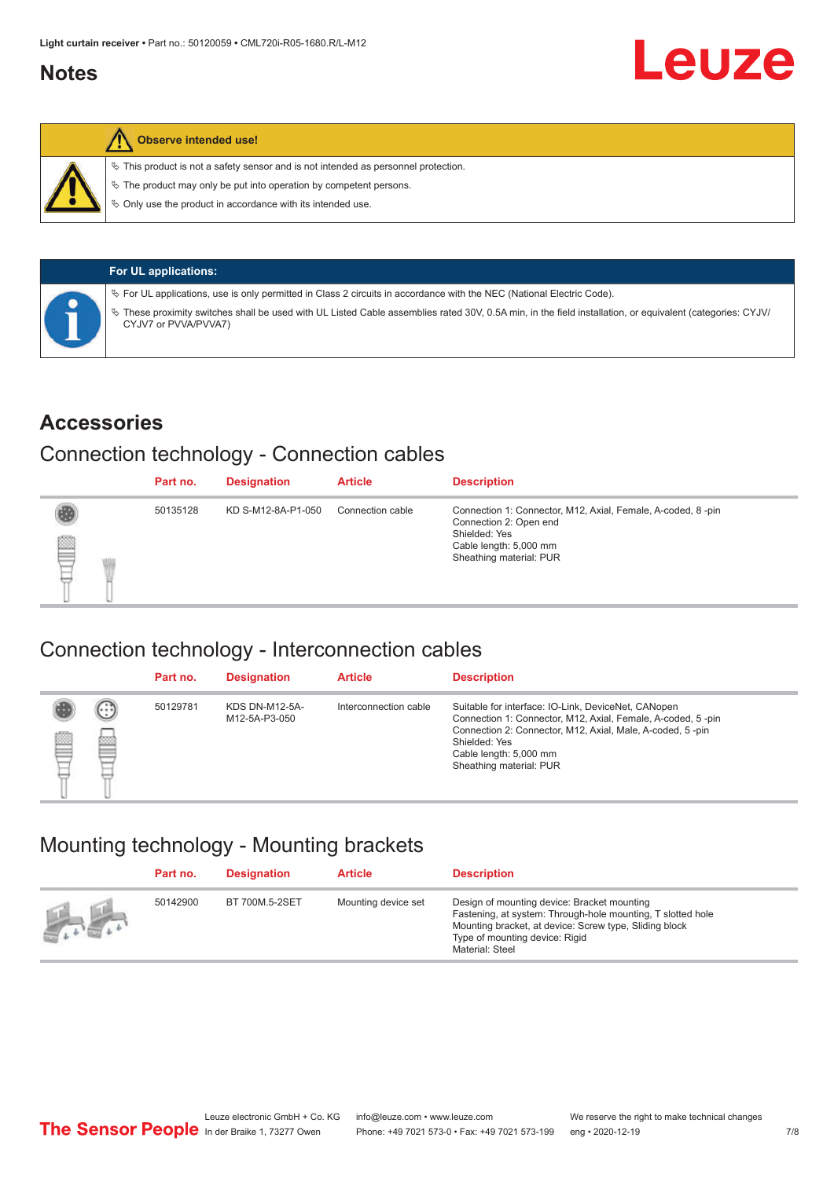#### <span id="page-6-0"></span>**Notes**



#### **Observe intended use!**

 $\%$  This product is not a safety sensor and is not intended as personnel protection.

 $\%$  The product may only be put into operation by competent persons.

 $\%$  Only use the product in accordance with its intended use.

| <b>For UL applications:</b>                                                                                                                                                     |
|---------------------------------------------------------------------------------------------------------------------------------------------------------------------------------|
| $\%$ For UL applications, use is only permitted in Class 2 circuits in accordance with the NEC (National Electric Code).                                                        |
| These proximity switches shall be used with UL Listed Cable assemblies rated 30V, 0.5A min, in the field installation, or equivalent (categories: CYJV/<br>CYJV7 or PVVA/PVVA7) |

#### **Accessories**

#### Connection technology - Connection cables

|   | Part no. | <b>Designation</b> | <b>Article</b>   | <b>Description</b>                                                                                                                                          |
|---|----------|--------------------|------------------|-------------------------------------------------------------------------------------------------------------------------------------------------------------|
| ₿ | 50135128 | KD S-M12-8A-P1-050 | Connection cable | Connection 1: Connector, M12, Axial, Female, A-coded, 8-pin<br>Connection 2: Open end<br>Shielded: Yes<br>Cable length: 5,000 mm<br>Sheathing material: PUR |

#### Connection technology - Interconnection cables

|   |                           | Part no. | <b>Designation</b>                     | <b>Article</b>        | <b>Description</b>                                                                                                                                                                                                                                    |
|---|---------------------------|----------|----------------------------------------|-----------------------|-------------------------------------------------------------------------------------------------------------------------------------------------------------------------------------------------------------------------------------------------------|
| ▤ | $\left(\cdot\right)$<br>Þ | 50129781 | <b>KDS DN-M12-5A-</b><br>M12-5A-P3-050 | Interconnection cable | Suitable for interface: IO-Link, DeviceNet, CANopen<br>Connection 1: Connector, M12, Axial, Female, A-coded, 5-pin<br>Connection 2: Connector, M12, Axial, Male, A-coded, 5-pin<br>Shielded: Yes<br>Cable length: 5,000 mm<br>Sheathing material: PUR |

#### Mounting technology - Mounting brackets

|               | Part no. | <b>Designation</b> | <b>Article</b>      | <b>Description</b>                                                                                                                                                                                                        |
|---------------|----------|--------------------|---------------------|---------------------------------------------------------------------------------------------------------------------------------------------------------------------------------------------------------------------------|
| $\frac{1}{2}$ | 50142900 | BT 700M.5-2SET     | Mounting device set | Design of mounting device: Bracket mounting<br>Fastening, at system: Through-hole mounting, T slotted hole<br>Mounting bracket, at device: Screw type, Sliding block<br>Type of mounting device: Rigid<br>Material: Steel |

Leuze